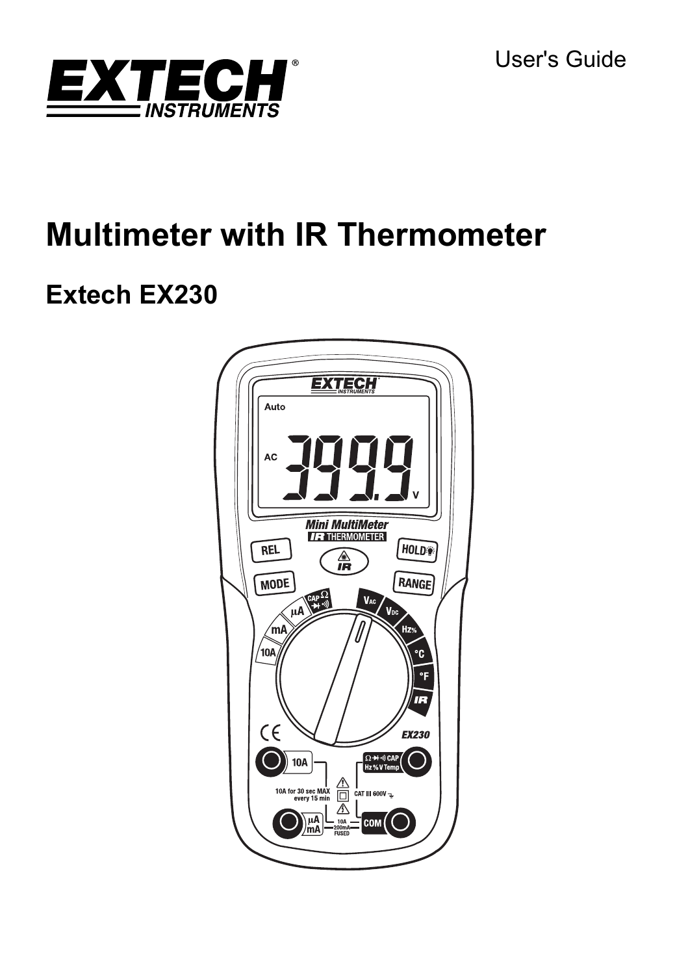User's Guide



# **Multimeter with IR Thermometer**

## **Extech EX230**

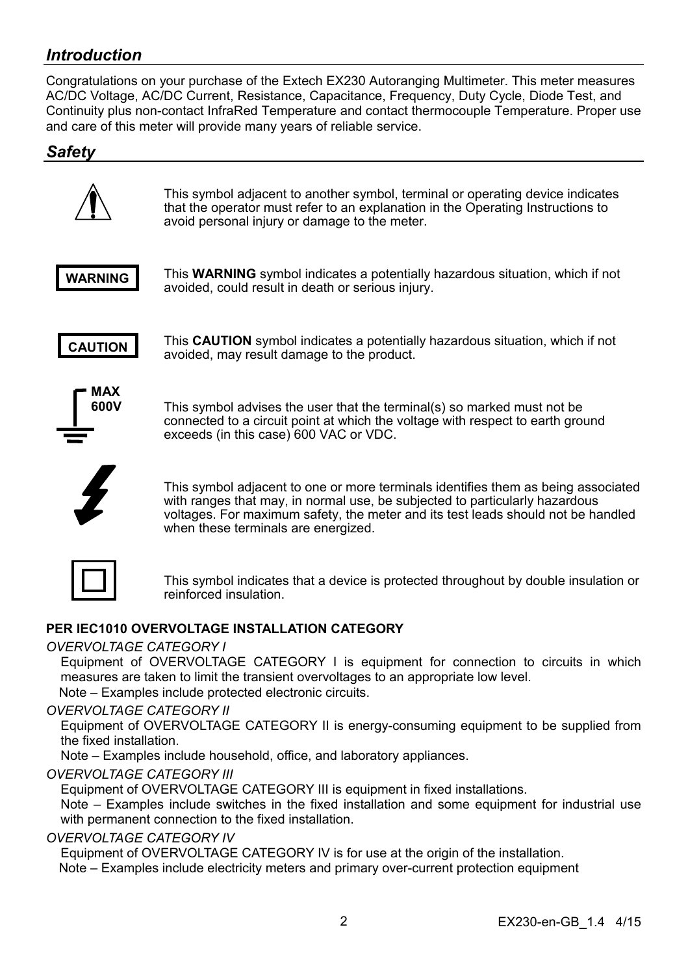## *Introduction*

Congratulations on your purchase of the Extech EX230 Autoranging Multimeter. This meter measures AC/DC Voltage, AC/DC Current, Resistance, Capacitance, Frequency, Duty Cycle, Diode Test, and Continuity plus non-contact InfraRed Temperature and contact thermocouple Temperature. Proper use and care of this meter will provide many years of reliable service.

## *Safety*



This symbol adjacent to another symbol, terminal or operating device indicates that the operator must refer to an explanation in the Operating Instructions to avoid personal injury or damage to the meter.



This **WARNING** symbol indicates a potentially hazardous situation, which if not avoided, could result in death or serious injury.



This **CAUTION** symbol indicates a potentially hazardous situation, which if not avoided, may result damage to the product.



This symbol advises the user that the terminal(s) so marked must not be connected to a circuit point at which the voltage with respect to earth ground exceeds (in this case) 600 VAC or VDC.



This symbol adjacent to one or more terminals identifies them as being associated with ranges that may, in normal use, be subjected to particularly hazardous voltages. For maximum safety, the meter and its test leads should not be handled when these terminals are energized.

This symbol indicates that a device is protected throughout by double insulation or reinforced insulation.

#### **PER IEC1010 OVERVOLTAGE INSTALLATION CATEGORY**

#### *OVERVOLTAGE CATEGORY I*

Equipment of OVERVOLTAGE CATEGORY I is equipment for connection to circuits in which measures are taken to limit the transient overvoltages to an appropriate low level. Note – Examples include protected electronic circuits.

#### *OVERVOLTAGE CATEGORY II*

Equipment of OVERVOLTAGE CATEGORY II is energy-consuming equipment to be supplied from the fixed installation.

Note – Examples include household, office, and laboratory appliances.

#### *OVERVOLTAGE CATEGORY III*

Equipment of OVERVOLTAGE CATEGORY III is equipment in fixed installations.

 Note – Examples include switches in the fixed installation and some equipment for industrial use with permanent connection to the fixed installation.

#### *OVERVOLTAGE CATEGORY IV*

Equipment of OVERVOLTAGE CATEGORY IV is for use at the origin of the installation. Note – Examples include electricity meters and primary over-current protection equipment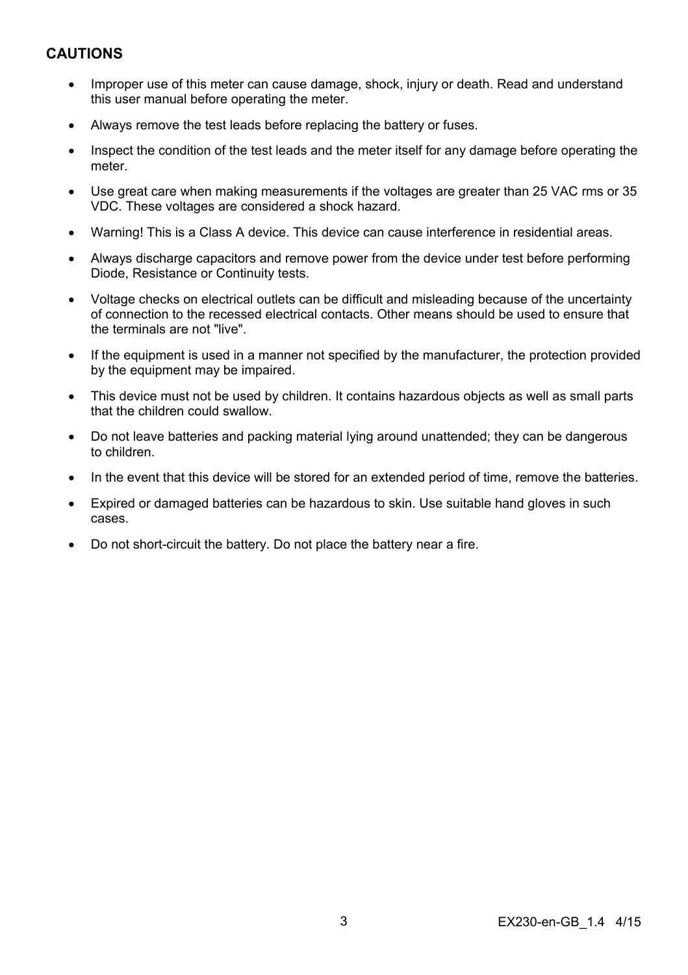## **CAUTIONS**

- Improper use of this meter can cause damage, shock, injury or death. Read and understand this user manual before operating the meter.
- Always remove the test leads before replacing the battery or fuses.
- Inspect the condition of the test leads and the meter itself for any damage before operating the meter.
- Use great care when making measurements if the voltages are greater than 25 VAC rms or 35 VDC. These voltages are considered a shock hazard.
- Warning! This is a Class A device. This device can cause interference in residential areas.
- Always discharge capacitors and remove power from the device under test before performing Diode, Resistance or Continuity tests.
- Voltage checks on electrical outlets can be difficult and misleading because of the uncertainty of connection to the recessed electrical contacts. Other means should be used to ensure that the terminals are not "live".
- If the equipment is used in a manner not specified by the manufacturer, the protection provided by the equipment may be impaired.
- This device must not be used by children. It contains hazardous objects as well as small parts that the children could swallow.
- Do not leave batteries and packing material lying around unattended; they can be dangerous to children.
- In the event that this device will be stored for an extended period of time, remove the batteries.
- Expired or damaged batteries can be hazardous to skin. Use suitable hand gloves in such cases.
- Do not short-circuit the battery. Do not place the battery near a fire.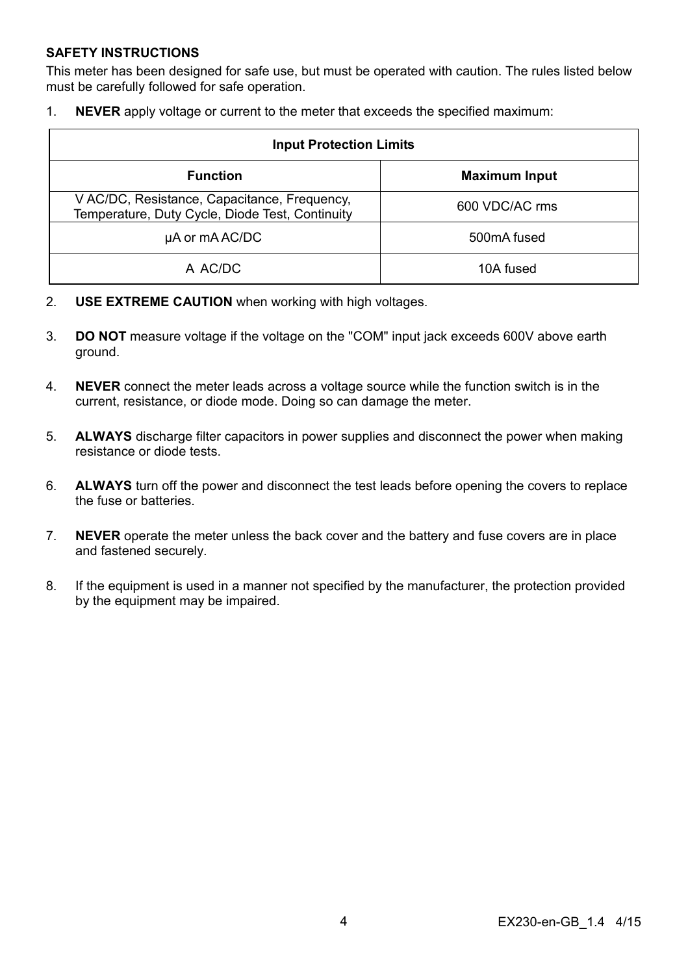#### **SAFETY INSTRUCTIONS**

This meter has been designed for safe use, but must be operated with caution. The rules listed below must be carefully followed for safe operation.

1. **NEVER** apply voltage or current to the meter that exceeds the specified maximum:

| <b>Input Protection Limits</b>                                                                  |                      |  |  |
|-------------------------------------------------------------------------------------------------|----------------------|--|--|
| <b>Function</b>                                                                                 | <b>Maximum Input</b> |  |  |
| V AC/DC, Resistance, Capacitance, Frequency,<br>Temperature, Duty Cycle, Diode Test, Continuity | 600 VDC/AC rms       |  |  |
| µA or mA AC/DC                                                                                  | 500mA fused          |  |  |
| A AC/DC                                                                                         | 10A fused            |  |  |

- 2. **USE EXTREME CAUTION** when working with high voltages.
- 3. **DO NOT** measure voltage if the voltage on the "COM" input jack exceeds 600V above earth ground.
- 4. **NEVER** connect the meter leads across a voltage source while the function switch is in the current, resistance, or diode mode. Doing so can damage the meter.
- 5. **ALWAYS** discharge filter capacitors in power supplies and disconnect the power when making resistance or diode tests.
- 6. **ALWAYS** turn off the power and disconnect the test leads before opening the covers to replace the fuse or batteries.
- 7. **NEVER** operate the meter unless the back cover and the battery and fuse covers are in place and fastened securely.
- 8. If the equipment is used in a manner not specified by the manufacturer, the protection provided by the equipment may be impaired.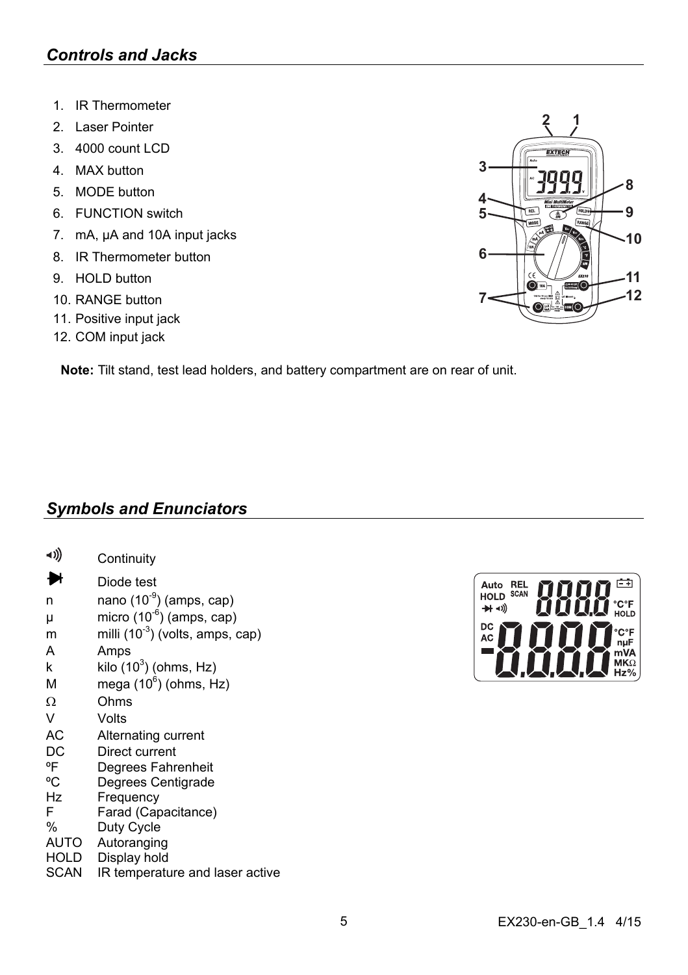- 1. IR Thermometer
- 2. Laser Pointer
- 3. 4000 count LCD
- 4. MAX button
- 5. MODE button
- 6. FUNCTION switch
- 7. mA, µA and 10A input jacks
- 8. IR Thermometer button
- 9. HOLD button
- 10. RANGE button
- 11. Positive input jack
- 12. COM input jack

**Note:** Tilt stand, test lead holders, and battery compartment are on rear of unit.

## *Symbols and Enunciators*

| -1))          | Continuity                           |
|---------------|--------------------------------------|
|               | Diode test                           |
| n             | nano (10 <sup>-9</sup> ) (amps, cap) |
| μ             | micro $(10^{-6})$ (amps, cap)        |
| m             | milli $(10^{-3})$ (volts, amps, cap) |
| A             | Amps                                 |
| k             | kilo $(10^3)$ (ohms, Hz)             |
| М             | mega $(10^6)$ (ohms, Hz)             |
| Ω             | Ohms                                 |
| V             | Volts                                |
| АC            | Alternating current                  |
| DC            | Direct current                       |
| °F            | Degrees Fahrenheit                   |
| °C            | Degrees Centigrade                   |
| Hz            | Frequency                            |
| F             | Farad (Capacitance)                  |
| $\frac{0}{0}$ | Duty Cycle                           |
| AUTO          | Autoranging                          |
| HOLD          | Display hold                         |
| SCAN          | IR temperature and laser active      |



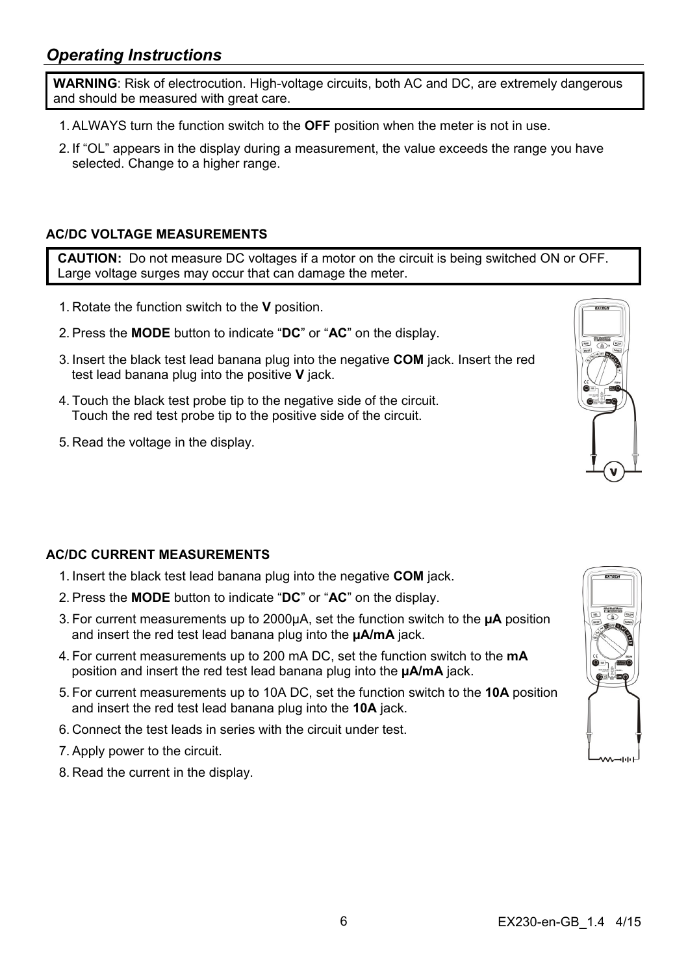## *Operating Instructions*

**WARNING**: Risk of electrocution. High-voltage circuits, both AC and DC, are extremely dangerous and should be measured with great care.

- 1. ALWAYS turn the function switch to the **OFF** position when the meter is not in use.
- 2. If "OL" appears in the display during a measurement, the value exceeds the range you have selected. Change to a higher range.

#### **AC/DC VOLTAGE MEASUREMENTS**

**CAUTION:** Do not measure DC voltages if a motor on the circuit is being switched ON or OFF. Large voltage surges may occur that can damage the meter.

- 1. Rotate the function switch to the **V** position.
- 2. Press the **MODE** button to indicate "**DC**" or "**AC**" on the display.
- 3. Insert the black test lead banana plug into the negative **COM** jack. Insert the red test lead banana plug into the positive **V** jack.
- 4. Touch the black test probe tip to the negative side of the circuit. Touch the red test probe tip to the positive side of the circuit.
- 5. Read the voltage in the display.

## **AC/DC CURRENT MEASUREMENTS**

- 1. Insert the black test lead banana plug into the negative **COM** jack.
- 2. Press the **MODE** button to indicate "**DC**" or "**AC**" on the display.
- 3. For current measurements up to 2000µA, set the function switch to the **µA** position and insert the red test lead banana plug into the **µA/mA** jack.
- 4. For current measurements up to 200 mA DC, set the function switch to the **mA** position and insert the red test lead banana plug into the **µA/mA** jack.
- 5. For current measurements up to 10A DC, set the function switch to the **10A** position and insert the red test lead banana plug into the **10A** jack.
- 6. Connect the test leads in series with the circuit under test.
- 7. Apply power to the circuit.
- 8. Read the current in the display.



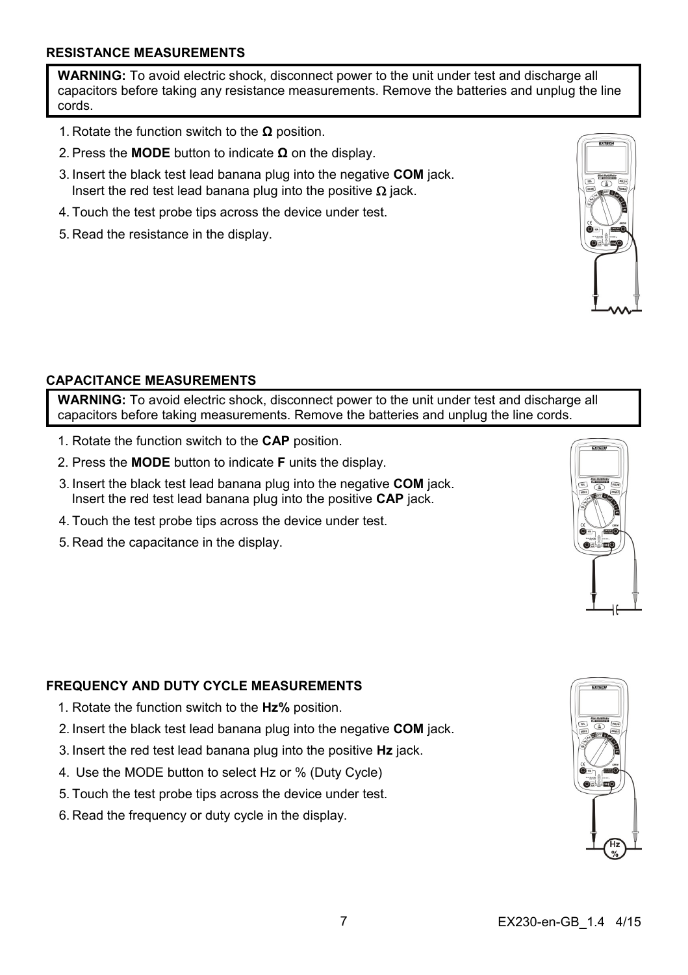#### **RESISTANCE MEASUREMENTS**

**WARNING:** To avoid electric shock, disconnect power to the unit under test and discharge all capacitors before taking any resistance measurements. Remove the batteries and unplug the line cords.

- 1. Rotate the function switch to the **Ω** position.
- 2. Press the **MODE** button to indicate **Ω** on the display.
- 3. Insert the black test lead banana plug into the negative **COM** jack. Insert the red test lead banana plug into the positive  $\Omega$  jack.
- 4. Touch the test probe tips across the device under test.
- 5. Read the resistance in the display.



#### **CAPACITANCE MEASUREMENTS**

**WARNING:** To avoid electric shock, disconnect power to the unit under test and discharge all capacitors before taking measurements. Remove the batteries and unplug the line cords.

- 1. Rotate the function switch to the **CAP** position.
- 2. Press the **MODE** button to indicate **F** units the display.
- 3. Insert the black test lead banana plug into the negative **COM** jack. Insert the red test lead banana plug into the positive **CAP** jack.
- 4. Touch the test probe tips across the device under test.
- 5. Read the capacitance in the display.

#### **FREQUENCY AND DUTY CYCLE MEASUREMENTS**

- 1. Rotate the function switch to the **Hz%** position.
- 2. Insert the black test lead banana plug into the negative **COM** jack.
- 3. Insert the red test lead banana plug into the positive **Hz** jack.
- 4. Use the MODE button to select Hz or % (Duty Cycle)
- 5. Touch the test probe tips across the device under test.
- 6. Read the frequency or duty cycle in the display.



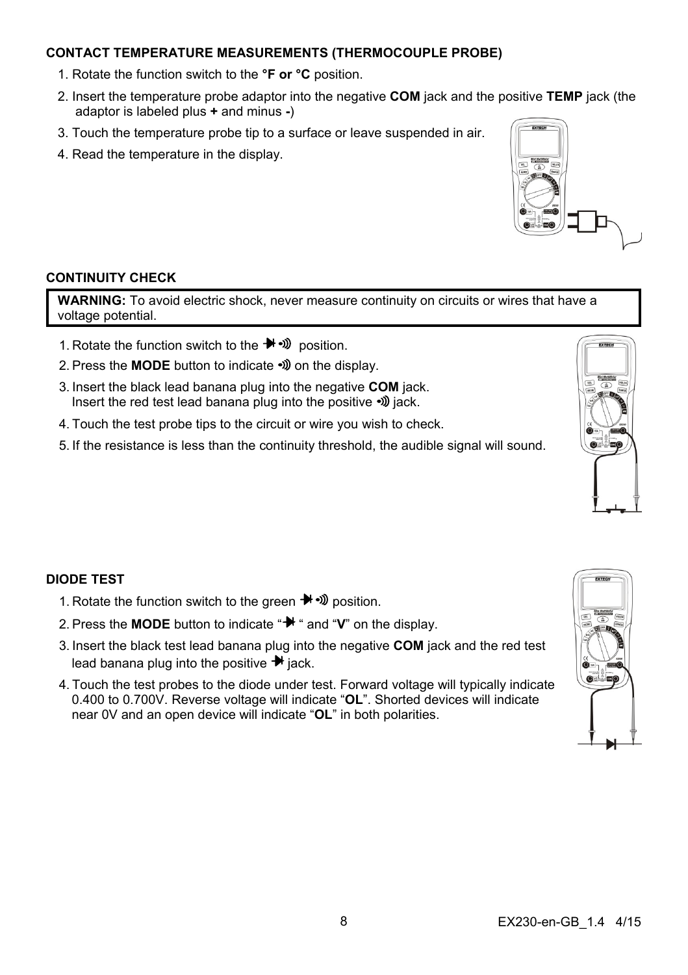#### **CONTACT TEMPERATURE MEASUREMENTS (THERMOCOUPLE PROBE)**

- 1. Rotate the function switch to the **°F or °C** position.
- 2. Insert the temperature probe adaptor into the negative **COM** jack and the positive **TEMP** jack (the adaptor is labeled plus **+** and minus **-**)
- 3. Touch the temperature probe tip to a surface or leave suspended in air.
- 4. Read the temperature in the display.

#### **CONTINUITY CHECK**

WARNING: To avoid electric shock, never measure continuity on circuits or wires that have a voltage potential.

- 1. Rotate the function switch to the position.
- 2. Press the **MODE** button to indicate  $\mathcal{W}$  on the display.
- 3. Insert the black lead banana plug into the negative **COM** jack. Insert the red test lead banana plug into the positive  $\mathcal{D}$  jack.
- 4. Touch the test probe tips to the circuit or wire you wish to check.
- 5. If the resistance is less than the continuity threshold, the audible signal will sound.



- 1. Rotate the function switch to the green  $\blacktriangleright$   $\blacktriangleright$   $\mathcal{D}$  position.
- 2. Press the **MODE** button to indicate " $\mathbf{H}$  " and "**V**" on the display.
- 3. Insert the black test lead banana plug into the negative **COM** jack and the red test lead banana plug into the positive  $\blacktriangleright$  jack.
- 4. Touch the test probes to the diode under test. Forward voltage will typically indicate 0.400 to 0.700V. Reverse voltage will indicate "**OL**". Shorted devices will indicate near 0V and an open device will indicate "**OL**" in both polarities.



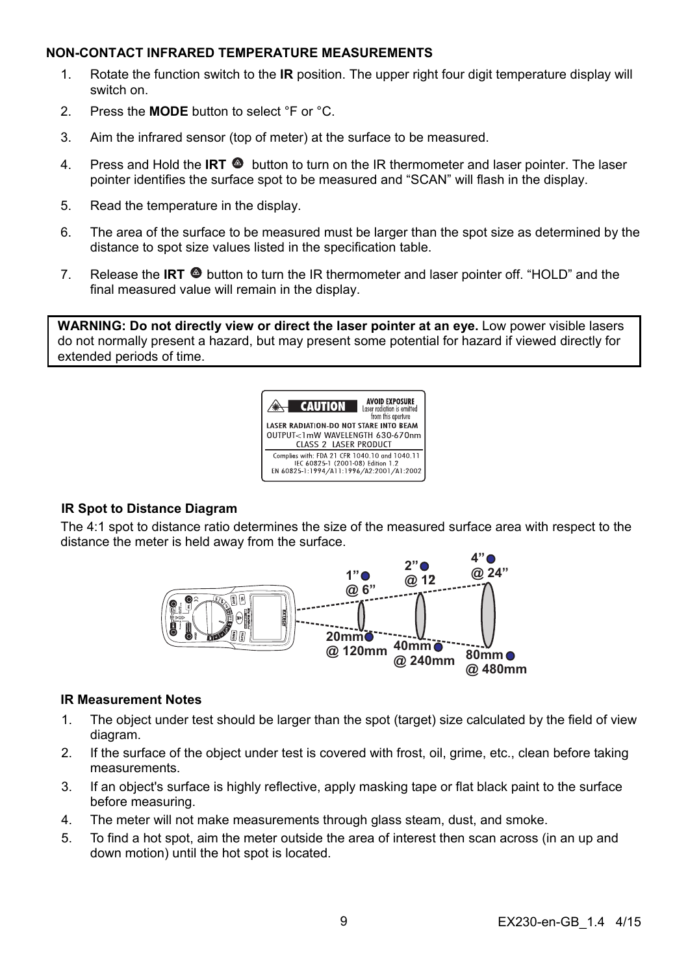#### **NON-CONTACT INFRARED TEMPERATURE MEASUREMENTS**

- 1. Rotate the function switch to the **IR** position. The upper right four digit temperature display will switch on.
- 2. Press the **MODE** button to select °F or °C.
- 3. Aim the infrared sensor (top of meter) at the surface to be measured.
- 4. Press and Hold the **IRT**  $\bullet$  button to turn on the IR thermometer and laser pointer. The laser pointer identifies the surface spot to be measured and "SCAN" will flash in the display.
- 5. Read the temperature in the display.
- 6. The area of the surface to be measured must be larger than the spot size as determined by the distance to spot size values listed in the specification table.
- 7. Release the **IRT**  $\bullet$  button to turn the IR thermometer and laser pointer off. "HOLD" and the final measured value will remain in the display.

**WARNING: Do not directly view or direct the laser pointer at an eye.** Low power visible lasers do not normally present a hazard, but may present some potential for hazard if viewed directly for extended periods of time.



#### **IR Spot to Distance Diagram**

The 4:1 spot to distance ratio determines the size of the measured surface area with respect to the distance the meter is held away from the surface.



#### **IR Measurement Notes**

- 1. The object under test should be larger than the spot (target) size calculated by the field of view diagram.
- 2. If the surface of the object under test is covered with frost, oil, grime, etc., clean before taking measurements.
- 3. If an object's surface is highly reflective, apply masking tape or flat black paint to the surface before measuring.
- 4. The meter will not make measurements through glass steam, dust, and smoke.
- 5. To find a hot spot, aim the meter outside the area of interest then scan across (in an up and down motion) until the hot spot is located.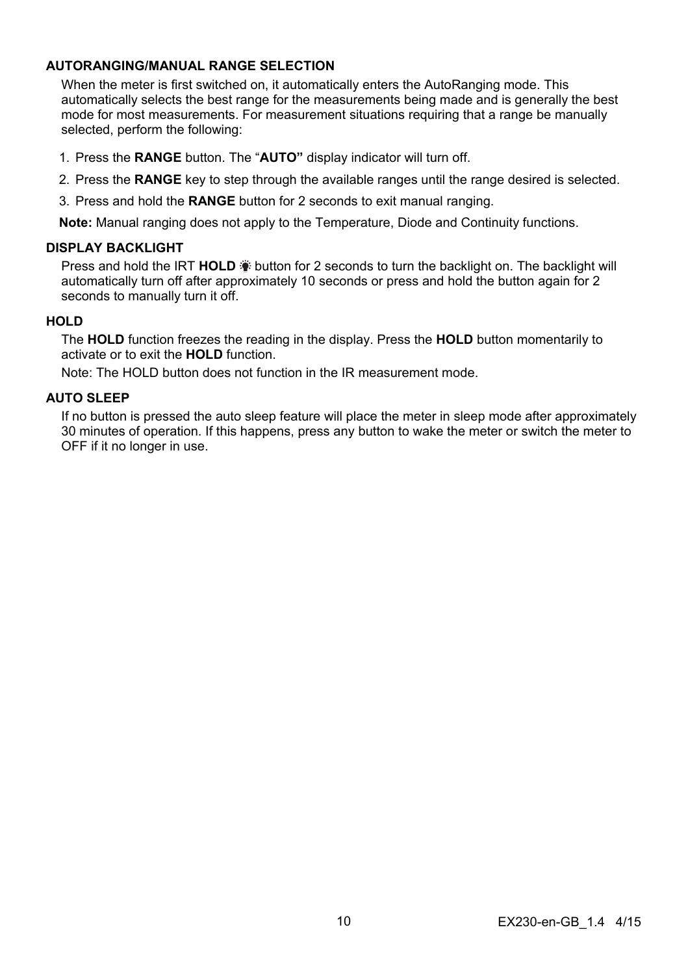#### **AUTORANGING/MANUAL RANGE SELECTION**

When the meter is first switched on, it automatically enters the AutoRanging mode. This automatically selects the best range for the measurements being made and is generally the best mode for most measurements. For measurement situations requiring that a range be manually selected, perform the following:

- 1. Press the **RANGE** button. The "**AUTO"** display indicator will turn off.
- 2. Press the **RANGE** key to step through the available ranges until the range desired is selected.
- 3. Press and hold the **RANGE** button for 2 seconds to exit manual ranging.

**Note:** Manual ranging does not apply to the Temperature, Diode and Continuity functions.

#### **DISPLAY BACKLIGHT**

**Press and hold the IRT HOLD**  $\ddot{\bullet}$  **button for 2 seconds to turn the backlight on. The backlight will** automatically turn off after approximately 10 seconds or press and hold the button again for 2 seconds to manually turn it off.

#### **HOLD**

The **HOLD** function freezes the reading in the display. Press the **HOLD** button momentarily to activate or to exit the **HOLD** function.

Note: The HOLD button does not function in the IR measurement mode.

#### **AUTO SLEEP**

If no button is pressed the auto sleep feature will place the meter in sleep mode after approximately 30 minutes of operation. If this happens, press any button to wake the meter or switch the meter to OFF if it no longer in use.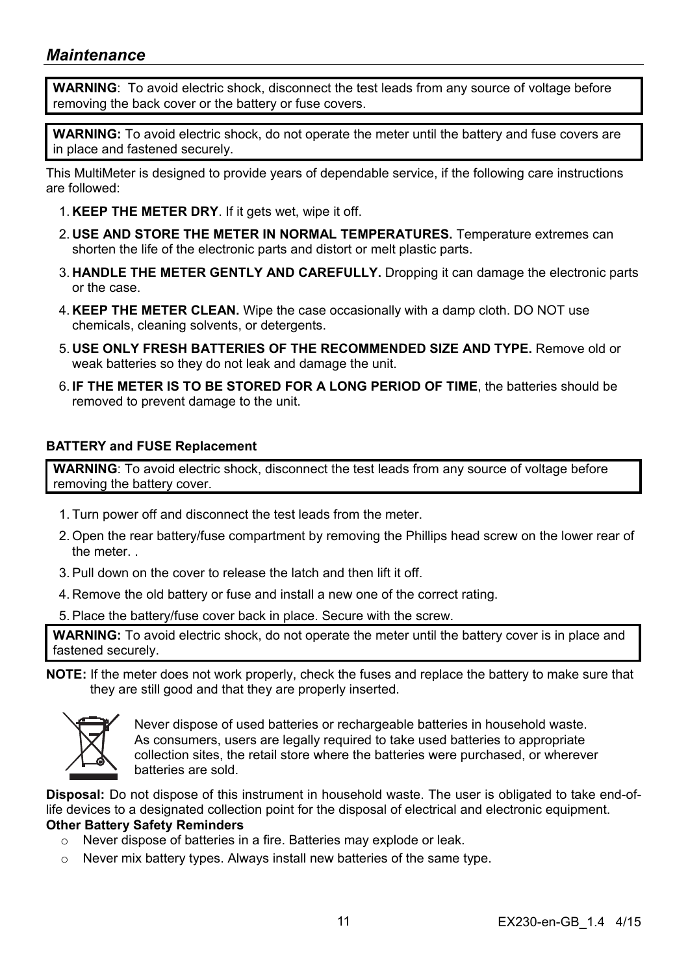## *Maintenance*

**WARNING**: To avoid electric shock, disconnect the test leads from any source of voltage before removing the back cover or the battery or fuse covers.

**WARNING:** To avoid electric shock, do not operate the meter until the battery and fuse covers are in place and fastened securely.

This MultiMeter is designed to provide years of dependable service, if the following care instructions are followed:

- 1. **KEEP THE METER DRY**. If it gets wet, wipe it off.
- 2. **USE AND STORE THE METER IN NORMAL TEMPERATURES.** Temperature extremes can shorten the life of the electronic parts and distort or melt plastic parts.
- 3. **HANDLE THE METER GENTLY AND CAREFULLY.** Dropping it can damage the electronic parts or the case.
- 4. **KEEP THE METER CLEAN.** Wipe the case occasionally with a damp cloth. DO NOT use chemicals, cleaning solvents, or detergents.
- 5. **USE ONLY FRESH BATTERIES OF THE RECOMMENDED SIZE AND TYPE.** Remove old or weak batteries so they do not leak and damage the unit.
- 6. **IF THE METER IS TO BE STORED FOR A LONG PERIOD OF TIME**, the batteries should be removed to prevent damage to the unit.

#### **BATTERY and FUSE Replacement**

**WARNING**: To avoid electric shock, disconnect the test leads from any source of voltage before removing the battery cover.

- 1. Turn power off and disconnect the test leads from the meter.
- 2. Open the rear battery/fuse compartment by removing the Phillips head screw on the lower rear of the meter. .
- 3. Pull down on the cover to release the latch and then lift it off.
- 4. Remove the old battery or fuse and install a new one of the correct rating.

5. Place the battery/fuse cover back in place. Secure with the screw.

**WARNING:** To avoid electric shock, do not operate the meter until the battery cover is in place and fastened securely.

**NOTE:** If the meter does not work properly, check the fuses and replace the battery to make sure that they are still good and that they are properly inserted.



Never dispose of used batteries or rechargeable batteries in household waste. As consumers, users are legally required to take used batteries to appropriate collection sites, the retail store where the batteries were purchased, or wherever batteries are sold.

**Disposal:** Do not dispose of this instrument in household waste. The user is obligated to take end-oflife devices to a designated collection point for the disposal of electrical and electronic equipment. **Other Battery Safety Reminders** 

- o Never dispose of batteries in a fire. Batteries may explode or leak.
- o Never mix battery types. Always install new batteries of the same type.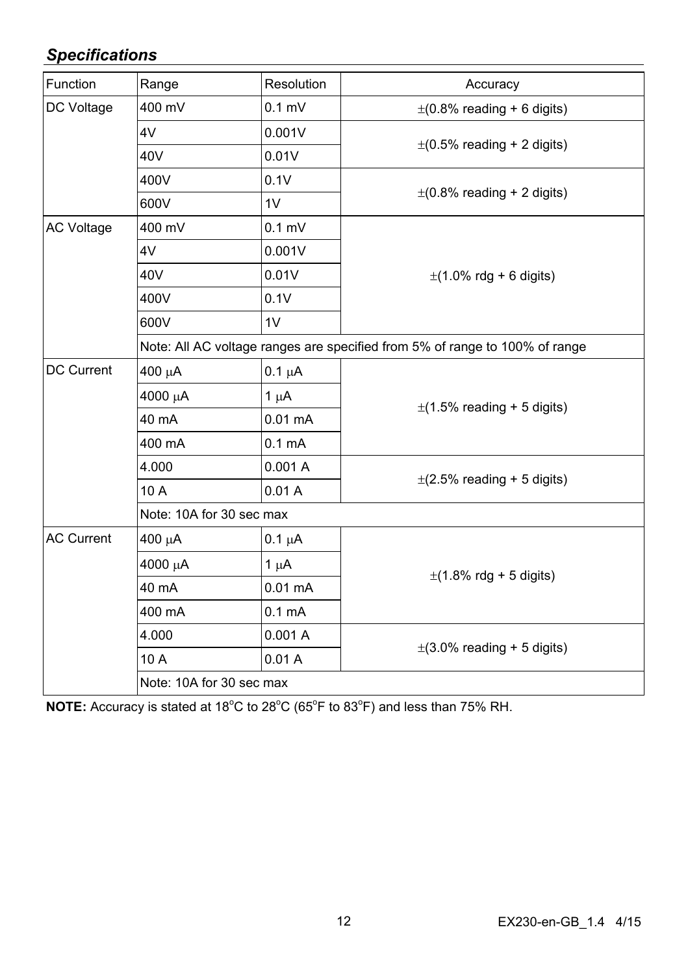## *Specifications*

| Function          | Range                                                                       | Resolution         | Accuracy                        |  |
|-------------------|-----------------------------------------------------------------------------|--------------------|---------------------------------|--|
| DC Voltage        | 400 mV                                                                      | $0.1$ mV           | $\pm$ (0.8% reading + 6 digits) |  |
|                   | 4V                                                                          | 0.001V             | $\pm$ (0.5% reading + 2 digits) |  |
|                   | 40V                                                                         | 0.01V              |                                 |  |
|                   | 400V                                                                        | 0.1V               |                                 |  |
|                   | 600V                                                                        | 1V                 | $\pm$ (0.8% reading + 2 digits) |  |
| <b>AC Voltage</b> | 400 mV                                                                      | $0.1$ mV           |                                 |  |
|                   | 4V                                                                          | 0.001V             |                                 |  |
|                   | 40V                                                                         | 0.01V              | $\pm$ (1.0% rdg + 6 digits)     |  |
|                   | 400V                                                                        | 0.1V               |                                 |  |
|                   | 600V                                                                        | 1V                 |                                 |  |
|                   | Note: All AC voltage ranges are specified from 5% of range to 100% of range |                    |                                 |  |
| <b>DC Current</b> | $400 \mu A$                                                                 | $0.1 \mu A$        |                                 |  |
|                   | 4000 μΑ                                                                     | $1 \mu A$          | $\pm$ (1.5% reading + 5 digits) |  |
|                   | 40 mA                                                                       | $0.01 \text{ mA}$  |                                 |  |
|                   | 400 mA                                                                      | 0.1 <sub>m</sub> A |                                 |  |
|                   | 4.000                                                                       | 0.001A             | $\pm$ (2.5% reading + 5 digits) |  |
|                   | 10 A                                                                        | 0.01A              |                                 |  |
|                   | Note: 10A for 30 sec max                                                    |                    |                                 |  |
| <b>AC Current</b> | $400 \mu A$                                                                 | $0.1 \mu A$        |                                 |  |
|                   | 4000 µA                                                                     | $1 \mu A$          | $\pm$ (1.8% rdg + 5 digits)     |  |
|                   | 40 mA                                                                       | $0.01 \text{ mA}$  |                                 |  |
|                   | 400 mA                                                                      | 0.1 <sub>m</sub> A |                                 |  |
|                   | 4.000                                                                       | 0.001A             | $\pm$ (3.0% reading + 5 digits) |  |
|                   | 10 A                                                                        | 0.01A              |                                 |  |
|                   | Note: 10A for 30 sec max                                                    |                    |                                 |  |
|                   |                                                                             |                    |                                 |  |

NOTE: Accuracy is stated at 18<sup>°</sup>C to 28<sup>°</sup>C (65<sup>°</sup>F to 83<sup>°</sup>F) and less than 75% RH.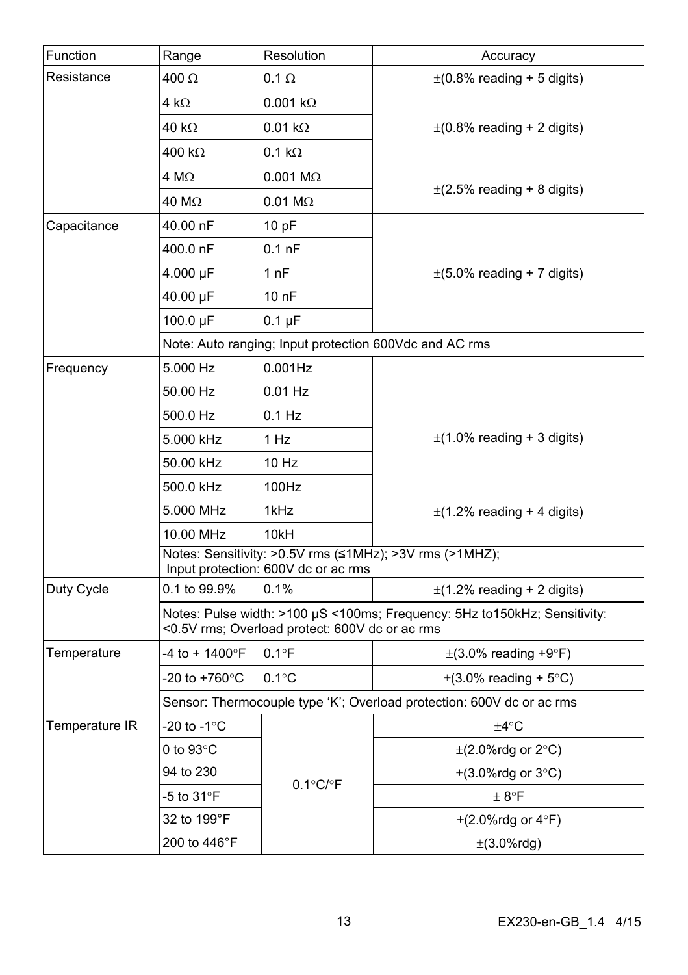| Function       | Range                                                                                                                       | Resolution                 | Accuracy                        |  |
|----------------|-----------------------------------------------------------------------------------------------------------------------------|----------------------------|---------------------------------|--|
| Resistance     | 400 Ω                                                                                                                       | $0.1 \Omega$               | $\pm$ (0.8% reading + 5 digits) |  |
|                | 4 k $\Omega$                                                                                                                | $0.001 k\Omega$            |                                 |  |
|                | 40 kΩ                                                                                                                       | $0.01 k\Omega$             | $\pm$ (0.8% reading + 2 digits) |  |
|                | 400 kΩ                                                                                                                      | $0.1 k\Omega$              |                                 |  |
|                | 4 MΩ                                                                                                                        | $0.001$ M $\Omega$         |                                 |  |
|                | 40 MΩ                                                                                                                       | $0.01 \text{ M}\Omega$     | $\pm$ (2.5% reading + 8 digits) |  |
| Capacitance    | 40.00 nF                                                                                                                    | 10 pF                      |                                 |  |
|                | 400.0 nF                                                                                                                    | $0.1$ nF                   |                                 |  |
|                | 4.000 µF                                                                                                                    | 1 nF                       | $\pm$ (5.0% reading + 7 digits) |  |
|                | 40.00 µF                                                                                                                    | 10 nF                      |                                 |  |
|                | 100.0 µF                                                                                                                    | $0.1 \mu F$                |                                 |  |
|                | Note: Auto ranging; Input protection 600Vdc and AC rms                                                                      |                            |                                 |  |
| Frequency      | 5.000 Hz                                                                                                                    | $0.001$ Hz                 |                                 |  |
|                | 50.00 Hz                                                                                                                    | $0.01$ Hz                  |                                 |  |
|                | 500.0 Hz                                                                                                                    | 0.1 Hz                     |                                 |  |
|                | 5.000 kHz                                                                                                                   | 1 Hz                       | $\pm$ (1.0% reading + 3 digits) |  |
|                | 50.00 kHz                                                                                                                   | 10 Hz                      |                                 |  |
|                | 500.0 kHz                                                                                                                   | 100Hz                      |                                 |  |
|                | 5.000 MHz                                                                                                                   | 1kHz                       | $\pm$ (1.2% reading + 4 digits) |  |
|                | 10.00 MHz                                                                                                                   | 10kH                       |                                 |  |
|                | Notes: Sensitivity: >0.5V rms (≤1MHz); >3V rms (>1MHZ);<br>Input protection: 600V dc or ac rms                              |                            |                                 |  |
| Duty Cycle     | 0.1 to 99.9%                                                                                                                | 0.1%                       | $\pm$ (1.2% reading + 2 digits) |  |
|                | Notes: Pulse width: >100 µS <100ms; Frequency: 5Hz to150kHz; Sensitivity:<br><0.5V rms; Overload protect: 600V dc or ac rms |                            |                                 |  |
| Temperature    | -4 to + 1400°F                                                                                                              | $0.1^{\circ}$ F            | $\pm$ (3.0% reading +9°F)       |  |
|                | -20 to +760°C                                                                                                               | $0.1^{\circ}$ C            | $\pm$ (3.0% reading + 5°C)      |  |
|                | Sensor: Thermocouple type 'K'; Overload protection: 600V dc or ac rms                                                       |                            |                                 |  |
| Temperature IR | -20 to -1°C                                                                                                                 | $0.1^{\circ}$ C/ $\circ$ F | ±4°C                            |  |
|                | 0 to 93°C                                                                                                                   |                            | $\pm$ (2.0%rdg or 2°C)          |  |
|                | 94 to 230                                                                                                                   |                            | $\pm$ (3.0%rdg or 3°C)          |  |
|                | -5 to 31°F                                                                                                                  |                            | $\pm$ 8°F                       |  |
|                | 32 to 199°F                                                                                                                 |                            | $\pm$ (2.0%rdg or 4°F)          |  |
|                | 200 to 446°F                                                                                                                |                            | $\pm$ (3.0%rdg)                 |  |